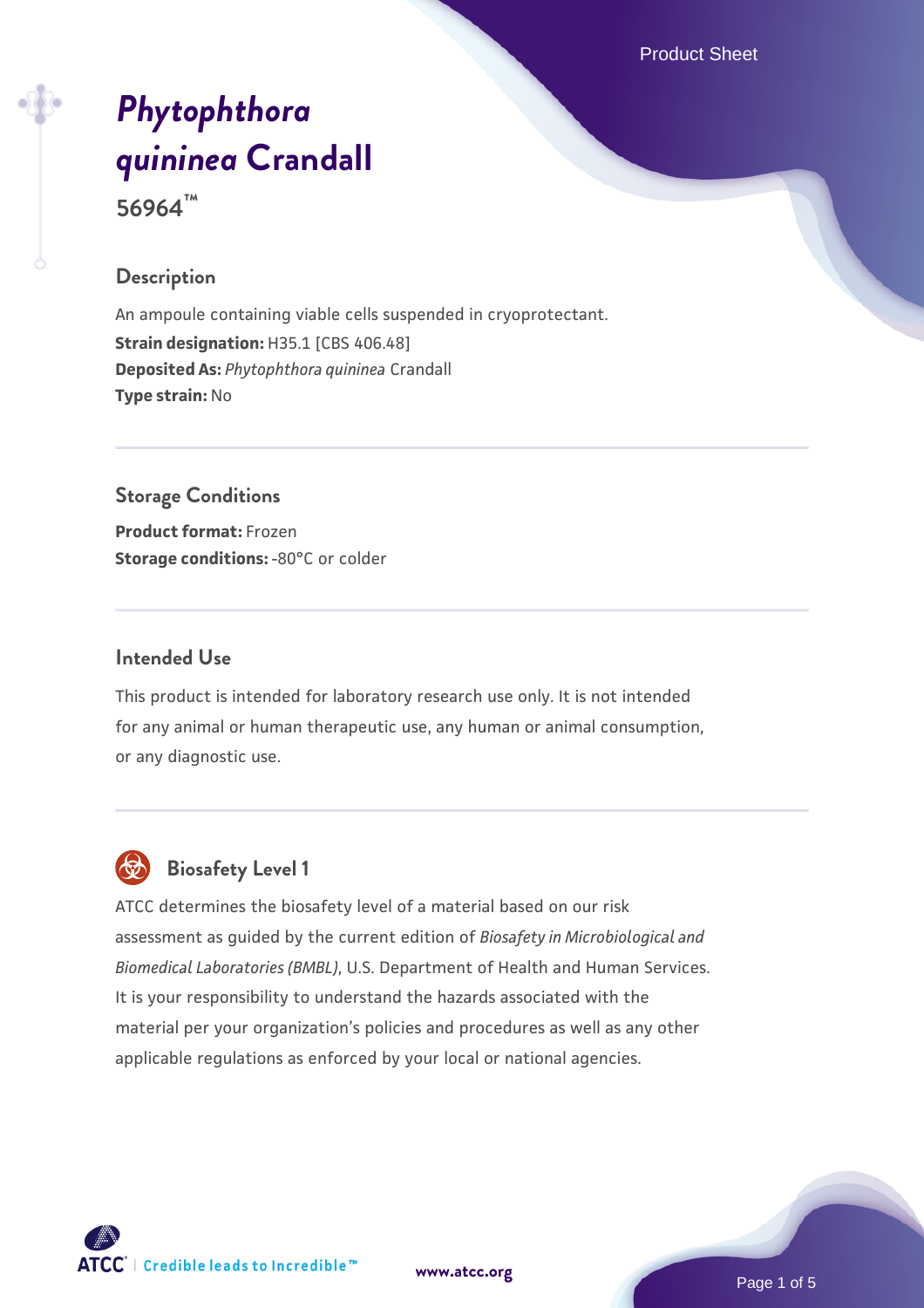Product Sheet

# *[Phytophthora](https://www.atcc.org/products/56964) [quininea](https://www.atcc.org/products/56964)* **[Crandall](https://www.atcc.org/products/56964)**

**56964™**

#### **Description**

An ampoule containing viable cells suspended in cryoprotectant. **Strain designation: H35.1 [CBS 406.48] Deposited As:** *Phytophthora quininea* Crandall **Type strain:** No

# **Storage Conditions**

**Product format:** Frozen **Storage conditions: -80°C or colder** 

#### **Intended Use**

This product is intended for laboratory research use only. It is not intended for any animal or human therapeutic use, any human or animal consumption, or any diagnostic use.



# **Biosafety Level 1**

ATCC determines the biosafety level of a material based on our risk assessment as guided by the current edition of *Biosafety in Microbiological and Biomedical Laboratories (BMBL)*, U.S. Department of Health and Human Services. It is your responsibility to understand the hazards associated with the material per your organization's policies and procedures as well as any other applicable regulations as enforced by your local or national agencies.



**[www.atcc.org](http://www.atcc.org)**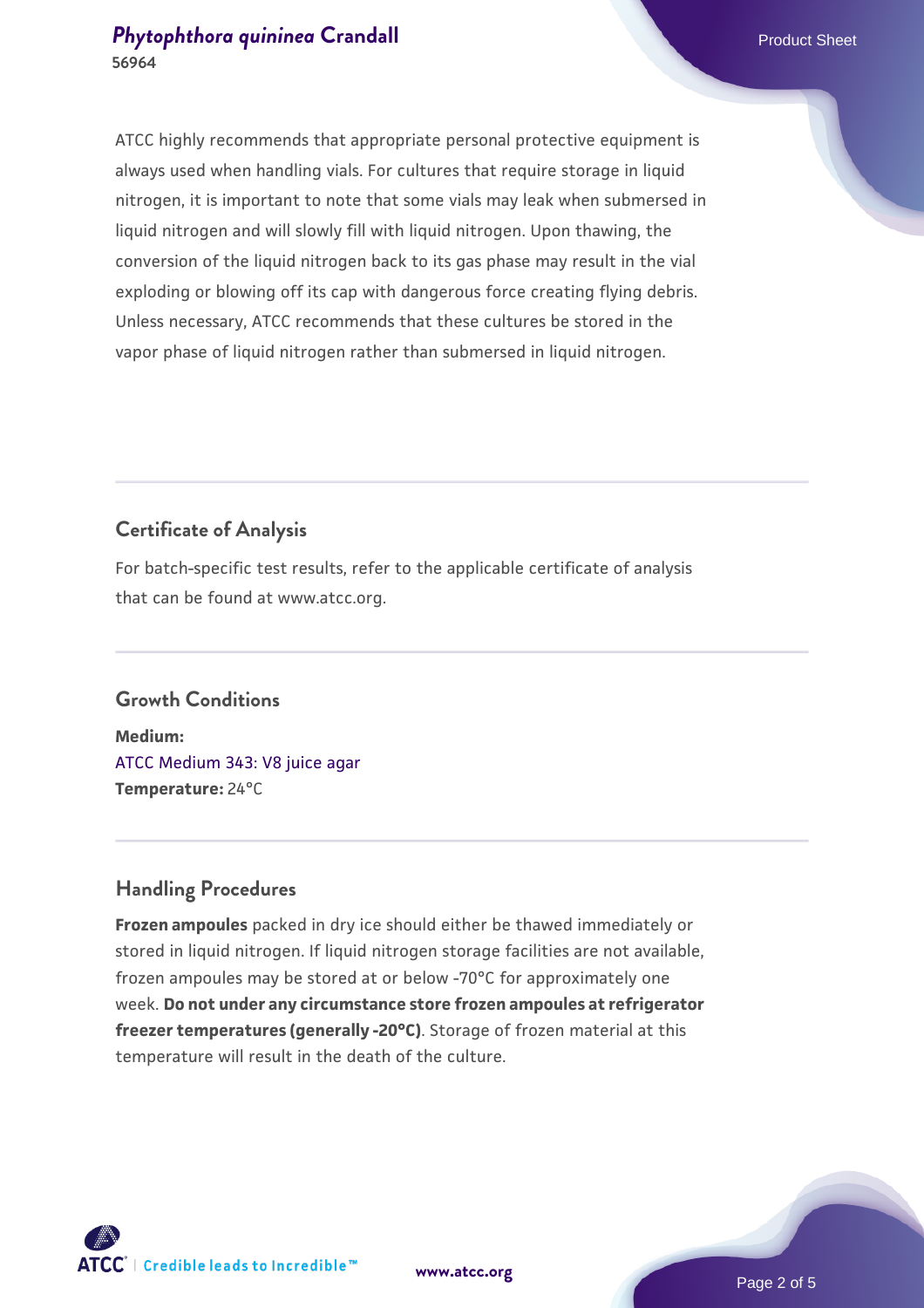ATCC highly recommends that appropriate personal protective equipment is always used when handling vials. For cultures that require storage in liquid nitrogen, it is important to note that some vials may leak when submersed in liquid nitrogen and will slowly fill with liquid nitrogen. Upon thawing, the conversion of the liquid nitrogen back to its gas phase may result in the vial exploding or blowing off its cap with dangerous force creating flying debris. Unless necessary, ATCC recommends that these cultures be stored in the vapor phase of liquid nitrogen rather than submersed in liquid nitrogen.

# **Certificate of Analysis**

For batch-specific test results, refer to the applicable certificate of analysis that can be found at www.atcc.org.

## **Growth Conditions**

**Medium:**  [ATCC Medium 343: V8 juice agar](https://www.atcc.org/-/media/product-assets/documents/microbial-media-formulations/3/4/3/atcc-medium-0343.pdf?rev=fbf48fa24e664932828269db1822ab12) **Temperature:** 24°C

## **Handling Procedures**

**Frozen ampoules** packed in dry ice should either be thawed immediately or stored in liquid nitrogen. If liquid nitrogen storage facilities are not available, frozen ampoules may be stored at or below -70°C for approximately one week. **Do not under any circumstance store frozen ampoules at refrigerator freezer temperatures (generally -20°C)**. Storage of frozen material at this temperature will result in the death of the culture.

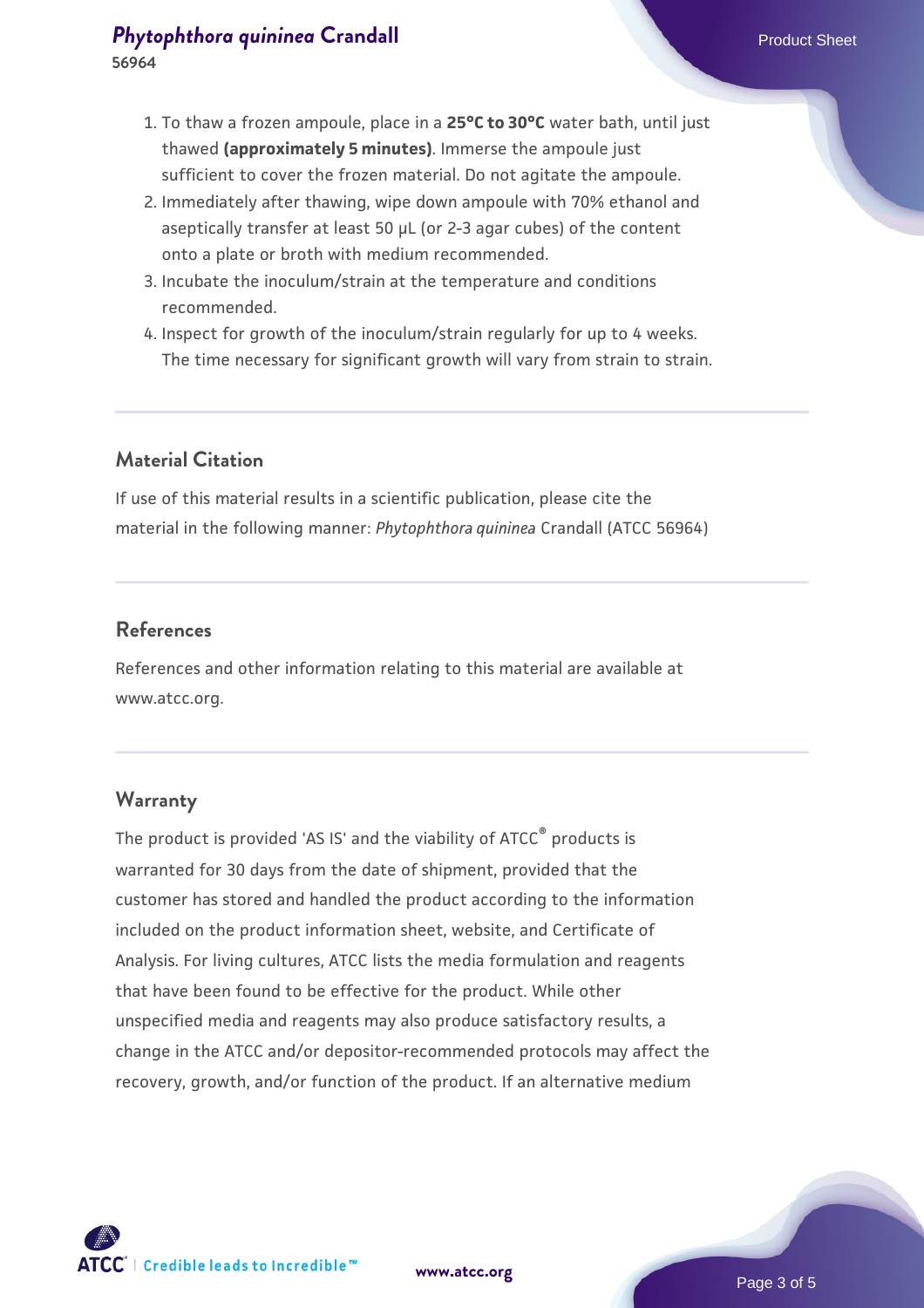- 1. To thaw a frozen ampoule, place in a **25°C to 30°C** water bath, until just thawed **(approximately 5 minutes)**. Immerse the ampoule just sufficient to cover the frozen material. Do not agitate the ampoule.
- 2. Immediately after thawing, wipe down ampoule with 70% ethanol and aseptically transfer at least 50 µL (or 2-3 agar cubes) of the content onto a plate or broth with medium recommended.
- 3. Incubate the inoculum/strain at the temperature and conditions recommended.
- 4. Inspect for growth of the inoculum/strain regularly for up to 4 weeks. The time necessary for significant growth will vary from strain to strain.

## **Material Citation**

If use of this material results in a scientific publication, please cite the material in the following manner: *Phytophthora quininea* Crandall (ATCC 56964)

#### **References**

References and other information relating to this material are available at www.atcc.org.

#### **Warranty**

The product is provided 'AS IS' and the viability of ATCC® products is warranted for 30 days from the date of shipment, provided that the customer has stored and handled the product according to the information included on the product information sheet, website, and Certificate of Analysis. For living cultures, ATCC lists the media formulation and reagents that have been found to be effective for the product. While other unspecified media and reagents may also produce satisfactory results, a change in the ATCC and/or depositor-recommended protocols may affect the recovery, growth, and/or function of the product. If an alternative medium



**[www.atcc.org](http://www.atcc.org)**

Page 3 of 5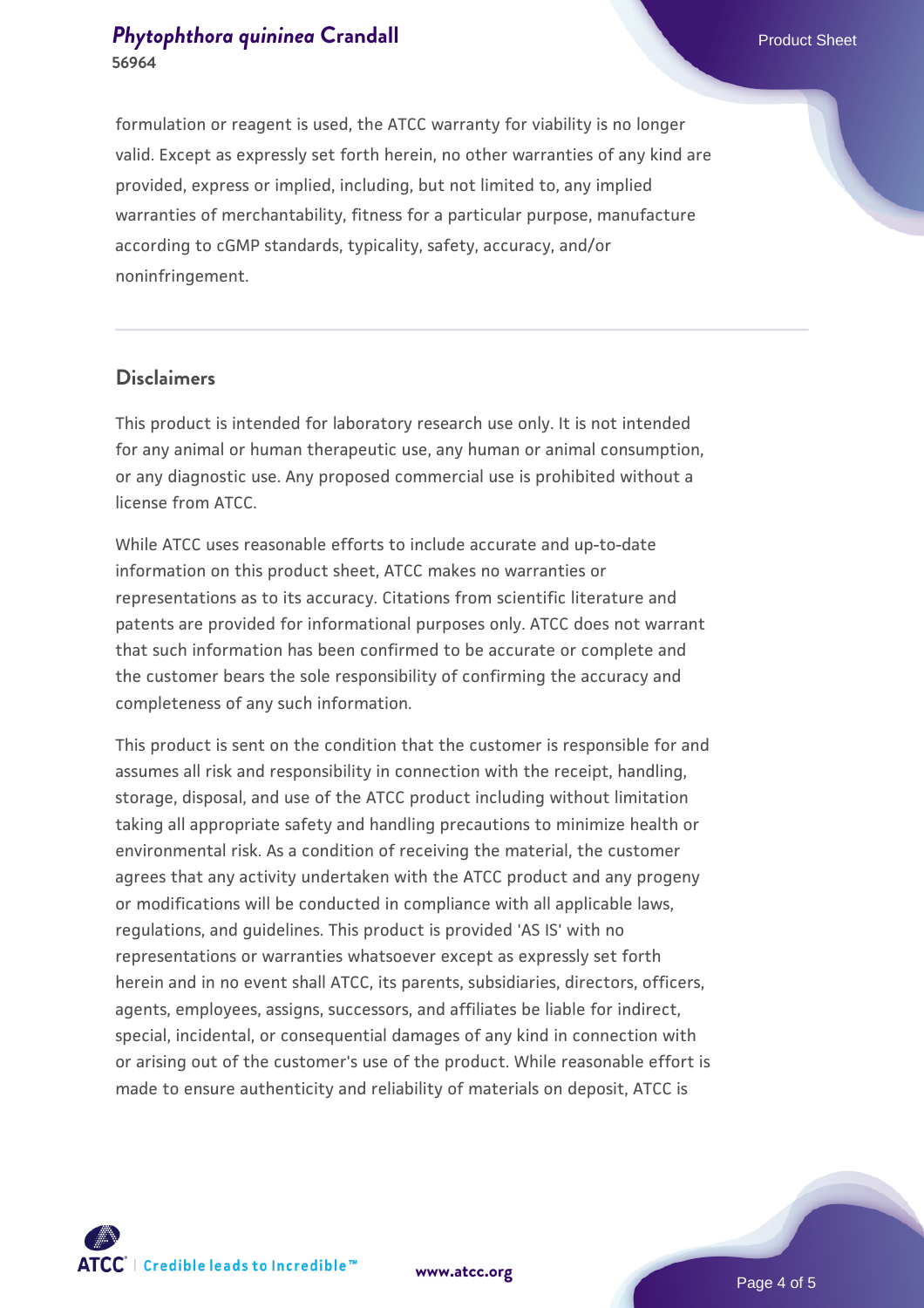formulation or reagent is used, the ATCC warranty for viability is no longer valid. Except as expressly set forth herein, no other warranties of any kind are provided, express or implied, including, but not limited to, any implied warranties of merchantability, fitness for a particular purpose, manufacture according to cGMP standards, typicality, safety, accuracy, and/or noninfringement.

#### **Disclaimers**

This product is intended for laboratory research use only. It is not intended for any animal or human therapeutic use, any human or animal consumption, or any diagnostic use. Any proposed commercial use is prohibited without a license from ATCC.

While ATCC uses reasonable efforts to include accurate and up-to-date information on this product sheet, ATCC makes no warranties or representations as to its accuracy. Citations from scientific literature and patents are provided for informational purposes only. ATCC does not warrant that such information has been confirmed to be accurate or complete and the customer bears the sole responsibility of confirming the accuracy and completeness of any such information.

This product is sent on the condition that the customer is responsible for and assumes all risk and responsibility in connection with the receipt, handling, storage, disposal, and use of the ATCC product including without limitation taking all appropriate safety and handling precautions to minimize health or environmental risk. As a condition of receiving the material, the customer agrees that any activity undertaken with the ATCC product and any progeny or modifications will be conducted in compliance with all applicable laws, regulations, and guidelines. This product is provided 'AS IS' with no representations or warranties whatsoever except as expressly set forth herein and in no event shall ATCC, its parents, subsidiaries, directors, officers, agents, employees, assigns, successors, and affiliates be liable for indirect, special, incidental, or consequential damages of any kind in connection with or arising out of the customer's use of the product. While reasonable effort is made to ensure authenticity and reliability of materials on deposit, ATCC is



**[www.atcc.org](http://www.atcc.org)**

Page 4 of 5